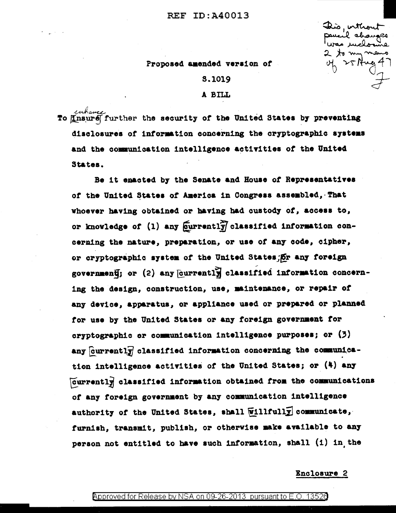## **REF ID: A40013**

This, inthou il chau 25 Aug

### Proposed amended version of

# **S.1019**

## A BILL

whave the security of the United States by preventing disclosures of information concerning the cryptographic systems and the communication intelligence activities of the United States.

Be it enacted by the Senate and House of Representatives of the United States of America in Congress assembled, That whoever having obtained or having had custody of, access to, or knowledge of (1) any currently classified information concerning the nature, preparation, or use of any code, cipher, or cryptographic system of the United States, or any foreign government; or (2) any [currently] classified information concerning the design, construction, use, maintenance, or repair of any device, apparatus, or appliance used or prepared or planned for use by the United States or any foreign government for cryptographic or communication intelligence purposes; or (3) any currently classified information concerning the communication intelligence activities of the United States; or (4) any Currently classified information obtained from the communications of any foreign government by any communication intelligence authority of the United States, shall Willfully communicate, furnish, transmit, publish, or otherwise make available to any person not entitled to have such information, shall (1) in the

#### Enclosure 2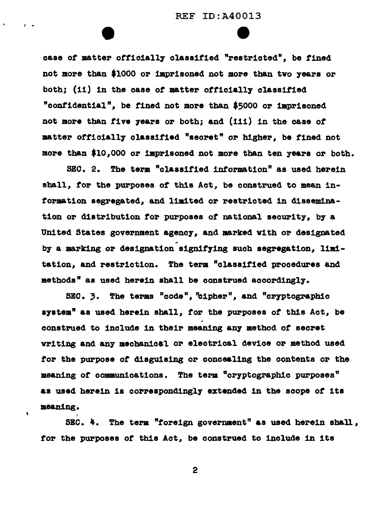case of matter officially classified "restricted", be fined not more than \$1000 or imprisoned not more than two 7eara or both; (ii) in the case of matter officially classified "cont1dent1al", be tined not more than \$5000 or 1aprisoned not more than five 7eara or both; and (111) in the case or matter officially classified "secret" or higher, be fined not more than \$10,000 or imprisoned not more than ten years or both.

I •

 $\bullet$ 

SEC. 2. The term "classified information" as used herein shall, tor the purposes *ot* this Act, be construed to mean 1nformation segregated, and limited or restricted in disseminat1on or distribution tor purposes *ot* national security, b7 a United States government agency, and marked with or designated by a marking or designation signifying such segregation, limitat1on, and restriction. The term "class1t1ed procedures and methods" as used herein shall be construed accordingly.

SEC.  $\bar{z}$ . The terms "code", "cipher", and "cryptographic a7atem" as used herein shall, tor the purposes or this Act, be construed to include in their meaning any method *ot* secret writing and any mecbanical or electrical device or method used *tor* the purpose *ot* d1agu1s1ng or concealing the contents or the meaning of communications. The term "cryptographic purposes" as used herein is correspondingly extended in the scope *ot* its meaning.

SEC.  $4$ . The term "foreign government" as used herein shall, tor the purposes *ot* this Act, be construed to include in its

2